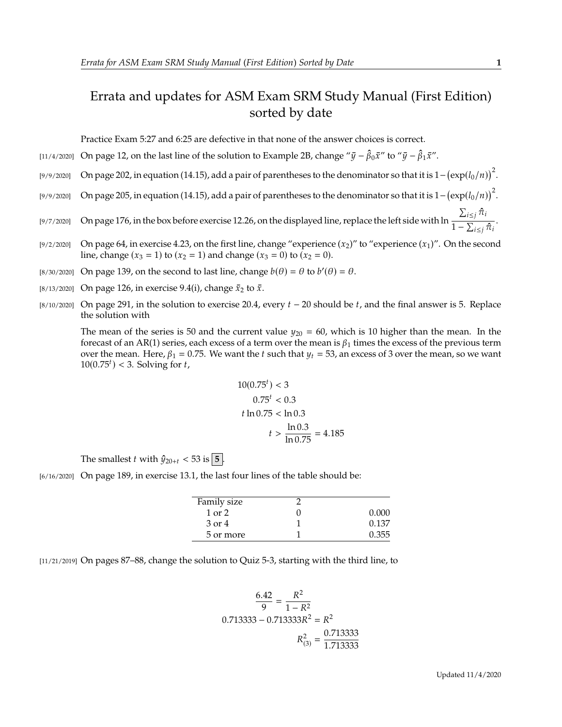## Errata and updates for ASM Exam SRM Study Manual (First Edition) sorted by date

Practice Exam 5:27 and 6:25 are defective in that none of the answer choices is correct.

- [11/4/2020] On page 12, on the last line of the solution to Example 2B, change " $\bar{y} \hat{\beta}_0 \bar{x}$ " to " $\bar{y} \hat{\beta}_1 \bar{x}$ ".
- [9/9/2020] On page 202, in equation (14.15), add a pair of parentheses to the denominator so that it is  $1-(\exp(l_0/n))^2$ .
- [9/9/2020] On page 205, in equation (14.15), add a pair of parentheses to the denominator so that it is  $1-(\exp(l_0/n))^2$ .
- [9/7/2020] On page 176, in the box before exercise 12.26, on the displayed line, replace the left side with ln  $\frac{\sum_{i \leq j} \hat{\pi}_i}{\sigma}$  $\frac{1}{1-\sum_{i\leq j}\hat{\pi}_i}$ .
- [9/2/2020] On page 64, in exercise 4.23, on the first line, change "experience  $(x_2)$ " to "experience  $(x_1)$ ". On the second line, change  $(x_3 = 1)$  to  $(x_2 = 1)$  and change  $(x_3 = 0)$  to  $(x_2 = 0)$ .
- [8/30/2020] On page 139, on the second to last line, change  $b(\theta) = \theta$  to  $b'(\theta) = \theta$ .
- [8/13/2020] On page 126, in exercise 9.4(i), change  $\bar{x}_2$  to  $\bar{x}$ .
- [8/10/2020] On page 291, in the solution to exercise 20.4, every  $t-20$  should be  $t$ , and the final answer is 5. Replace the solution with

The mean of the series is 50 and the current value  $y_{20} = 60$ , which is 10 higher than the mean. In the forecast of an AR(1) series, each excess of a term over the mean is  $\beta_1$  times the excess of the previous term over the mean. Here,  $\beta_1 = 0.75$ . We want the t such that  $y_t = 53$ , an excess of 3 over the mean, so we want  $10(0.75<sup>t</sup>) < 3$ . Solving for  $t$ ,

$$
10(0.75t) < 3
$$
  
0.75<sup>t</sup> < 0.3  

$$
t \ln 0.75 < \ln 0.3
$$

$$
t > \frac{\ln 0.3}{\ln 0.75} = 4.185
$$

The smallest *t* with  $\hat{y}_{20+t}$  < 53 is  $|5|$ .

[6/16/2020] On page 189, in exercise 13.1, the last four lines of the table should be:

| Family size |       |
|-------------|-------|
| $1$ or $2$  | 0.000 |
| 3 or 4      | 0.137 |
| 5 or more   | 0.355 |
|             |       |

[11/21/2019] On pages 87–88, change the solution to Quiz 5-3, starting with the third line, to

$$
\frac{6.42}{9} = \frac{R^2}{1 - R^2}
$$
  
0.713333 - 0.713333R<sup>2</sup> = R<sup>2</sup>  

$$
R_{(3)}^2 = \frac{0.713333}{1.713333}
$$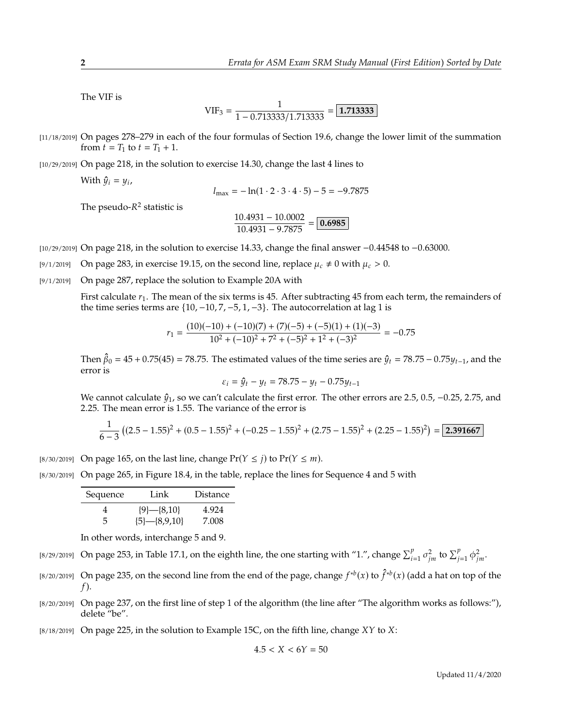The VIF is

$$
VIF_3 = \frac{1}{1 - 0.713333/1.713333} = \boxed{1.713333}
$$

[11/18/2019] On pages 278–279 in each of the four formulas of Section 19.6, change the lower limit of the summation from  $t = T_1$  to  $t = T_1 + 1$ .

[10/29/2019] On page 218, in the solution to exercise 14.30, change the last 4 lines to

With  $\hat{y}_i = y_i$ ,

$$
l_{\text{max}} = -\ln(1 \cdot 2 \cdot 3 \cdot 4 \cdot 5) - 5 = -9.7875
$$

The pseudo- $R^2$  statistic is

$$
\frac{10.4931 - 10.0002}{10.4931 - 9.7875} = \boxed{0.6985}
$$

[10/29/2019] On page 218, in the solution to exercise 14.33, change the final answer <sup>−</sup>0.<sup>44548</sup> to <sup>−</sup>0.63000.

- [9/1/2019] On page 283, in exercise 19.15, on the second line, replace  $\mu_c \neq 0$  with  $\mu_c > 0$ .
- [9/1/2019] On page 287, replace the solution to Example 20A with

First calculate  $r_1$ . The mean of the six terms is 45. After subtracting 45 from each term, the remainders of the time series terms are  $\{10, -10, 7, -5, 1, -3\}$ . The autocorrelation at lag 1 is

$$
r_1 = \frac{(10)(-10) + (-10)(7) + (7)(-5) + (-5)(1) + (1)(-3)}{10^2 + (-10)^2 + 7^2 + (-5)^2 + 1^2 + (-3)^2} = -0.75
$$

Then  $\hat{\beta}_0 = 45 + 0.75(45) = 78.75$ . The estimated values of the time series are  $\hat{y}_t = 78.75 - 0.75y_{t-1}$ , and the error is error is

$$
\varepsilon_i = \hat{y}_t - y_t = 78.75 - y_t - 0.75y_{t-1}
$$

We cannot calculate  $\hat{y}_1$ , so we can't calculate the first error. The other errors are 2.5, 0.5, -0.25, 2.75, and  $2.25$ . The mean error is 1.55. The variance of the error is <sup>2</sup>.25. The mean error is 1.55. The variance of the error is

$$
\frac{1}{6-3} \left( (2.5 - 1.55)^2 + (0.5 - 1.55)^2 + (-0.25 - 1.55)^2 + (2.75 - 1.55)^2 + (2.25 - 1.55)^2 \right) = \boxed{2.391667}
$$

- [8/30/2019] On page 165, on the last line, change  $Pr(Y \leq j)$  to  $Pr(Y \leq m)$ .
- [8/30/2019] On page 265, in Figure 18.4, in the table, replace the lines for Sequence 4 and 5 with

| Sequence | Link            | <b>Distance</b> |
|----------|-----------------|-----------------|
|          | ${9}$ -{8,10}   | 4.924           |
| 5        | ${5}$ -{8,9,10} | 7.008           |

In other words, interchange 5 and 9.

- [8/29/2019] On page 253, in Table 17.1, on the eighth line, the one starting with "1.", change  $\sum_{i=1}^{p} \sigma_{jm}^2$  to  $\sum_{j=1}^{p} \phi_{jm}^2$ .
- [8/20/2019] On page 235, on the second line from the end of the page, change  $f^{*b}(x)$  to  $\hat{f}^{*b}(x)$  (add a hat on top of the  $f$ ).
- [8/20/2019] On page 237, on the first line of step 1 of the algorithm (the line after "The algorithm works as follows:"), delete "be".
- [8/18/2019] On page 225, in the solution to Example 15C, on the fifth line, change  $XY$  to  $X$ :

$$
4.5 < X < 6Y = 50
$$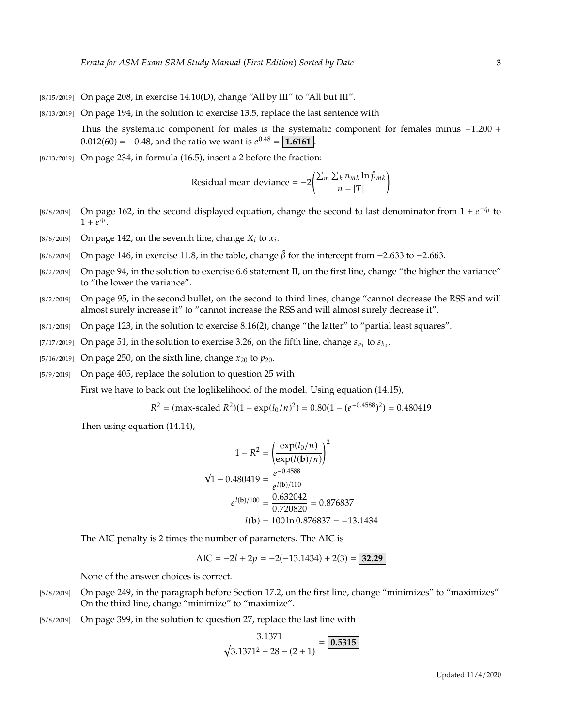- [8/15/2019] On page 208, in exercise 14.10(D), change "All by III" to "All but III".
- [8/13/2019] On page 194, in the solution to exercise 13.5, replace the last sentence with

Thus the systematic component for males is the systematic component for females minus <sup>−</sup>1.<sup>200</sup> <sup>+</sup>  $0.012(60) = -0.48$ , and the ratio we want is  $e^{0.48} = \boxed{1.6161}$ .

[8/13/2019] On page 234, in formula (16.5), insert a 2 before the fraction:

Residual mean deviance = 
$$
-2\left(\frac{\sum_m \sum_k n_{mk} \ln \hat{p}_{mk}}{n - |T|}\right)
$$

- [8/8/2019] On page 162, in the second displayed equation, change the second to last denominator from  $1 + e^{-\eta_i}$  to  $1 + e^{\eta_i}$  $1 + \overline{e^{\eta_i}}$ .
- [8/6/2019] On page 142, on the seventh line, change  $X_i$  to  $x_i$ .
- [8/6/2019] On page 146, in exercise 11.8, in the table, change  $\hat{\beta}$  for the intercept from −2.633 to −2.663.<br>[8/2/2019] On page 94, in the solution to exercise 6.6 statement II, on the first line, change "the higher
- [8/2/2019] On page 94, in the solution to exercise 6.6 statement II, on the first line, change "the higher the variance" to "the lower the variance".
- [8/2/2019] On page 95, in the second bullet, on the second to third lines, change "cannot decrease the RSS and will almost surely increase it" to "cannot increase the RSS and will almost surely decrease it".
- [8/1/2019] On page 123, in the solution to exercise 8.16(2), change "the latter" to "partial least squares".
- [7/17/2019] On page 51, in the solution to exercise 3.26, on the fifth line, change  $s_{b_1}$  to  $s_{b_0}$ .
- [5/16/2019] On page 250, on the sixth line, change  $x_{20}$  to  $p_{20}$ .<br>[5/9/2019] On page 405, replace the solution to question 25
- On page 405, replace the solution to question 25 with

First we have to back out the loglikelihood of the model. Using equation (14.15),

$$
R^{2} = (\text{max-scaled } R^{2})(1 - \exp(l_{0}/n)^{2}) = 0.80(1 - (e^{-0.4588})^{2}) = 0.480419
$$

Then using equation (14.14),

$$
1 - R^2 = \left(\frac{\exp(l_0/n)}{\exp(l(\mathbf{b})/n)}\right)^2
$$
  

$$
\sqrt{1 - 0.480419} = \frac{e^{-0.4588}}{e^{l(\mathbf{b})/100}}
$$
  

$$
e^{l(\mathbf{b})/100} = \frac{0.632042}{0.720820} = 0.876837
$$
  

$$
l(\mathbf{b}) = 100 \ln 0.876837 = -13.1434
$$

The AIC penalty is 2 times the number of parameters. The AIC is

$$
AIC = -2l + 2p = -2(-13.1434) + 2(3) = 32.29
$$

None of the answer choices is correct.

- [5/8/2019] On page 249, in the paragraph before Section 17.2, on the first line, change "minimizes" to "maximizes". On the third line, change "minimize" to "maximize".
- [5/8/2019] On page 399, in the solution to question 27, replace the last line with

$$
\frac{3.1371}{\sqrt{3.1371^2 + 28 - (2 + 1)}} = \boxed{0.5315}
$$